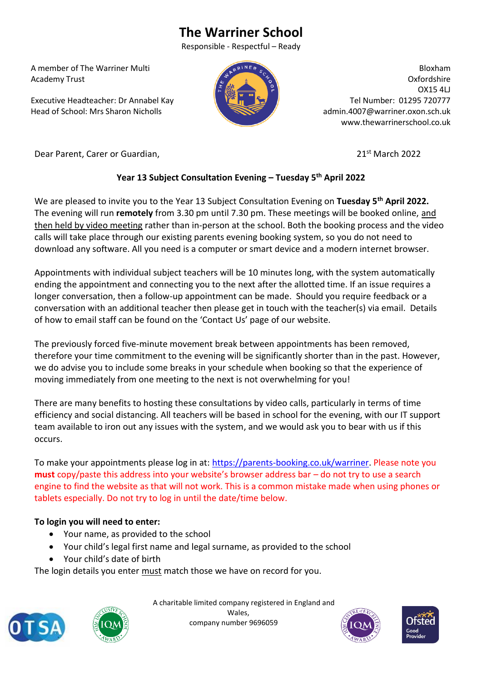# **The Warriner School**

Responsible - Respectful – Ready

 A member of The Warriner Multi Academy Trust

 Executive Headteacher: Dr Annabel Kay Head of School: Mrs Sharon Nicholls



Bloxham Oxfordshire OX15 4LJ Tel Number: 01295 720777 admin.4007@warriner.oxon.sch.uk www.thewarrinerschool.co.uk

Dear Parent, Carer or Guardian, 2022 **21st March 2022** 

## **Year 13 Subject Consultation Evening – Tuesday 5th April 2022**

We are pleased to invite you to the Year 13 Subject Consultation Evening on **Tuesday 5th April 2022.** The evening will run **remotely** from 3.30 pm until 7.30 pm. These meetings will be booked online, and then held by video meeting rather than in-person at the school. Both the booking process and the video calls will take place through our existing parents evening booking system, so you do not need to download any software. All you need is a computer or smart device and a modern internet browser.

Appointments with individual subject teachers will be 10 minutes long, with the system automatically ending the appointment and connecting you to the next after the allotted time. If an issue requires a longer conversation, then a follow-up appointment can be made. Should you require feedback or a conversation with an additional teacher then please get in touch with the teacher(s) via email. Details of how to email staff can be found on the 'Contact Us' page of our website.

The previously forced five-minute movement break between appointments has been removed, therefore your time commitment to the evening will be significantly shorter than in the past. However, we do advise you to include some breaks in your schedule when booking so that the experience of moving immediately from one meeting to the next is not overwhelming for you!

There are many benefits to hosting these consultations by video calls, particularly in terms of time efficiency and social distancing. All teachers will be based in school for the evening, with our IT support team available to iron out any issues with the system, and we would ask you to bear with us if this occurs.

To make your appointments please log in at: [https://parents-booking.co.uk/warriner.](https://parents-booking.co.uk/warriner) Please note you **must** copy/paste this address into your website's browser address bar – do not try to use a search engine to find the website as that will not work. This is a common mistake made when using phones or tablets especially. Do not try to log in until the date/time below.

### **To login you will need to enter:**

- Your name, as provided to the school
- Your child's legal first name and legal surname, as provided to the school
- Your child's date of birth

The login details you enter must match those we have on record for you.





 A charitable limited company registered in England and Wales, company number 9696059